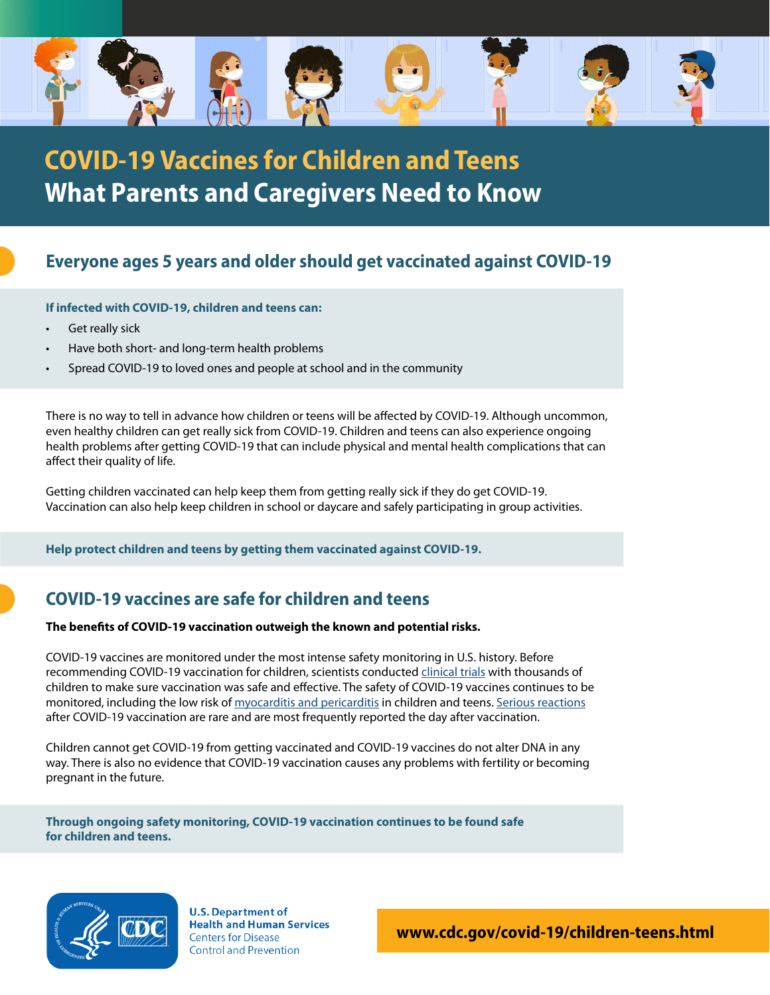

# **COVID-19 Vaccines for Children and Teens What Parents and Caregivers Need to Know**

#### **Everyone ages 5 years and older should get vaccinated against COVID-19**

**If infected with COVID-19, children and teens can:** 

- **Get really sick**
- Have both short- and long-term health problems
- Spread COVID-19 to loved ones and people at school and in the community

There is no way to tell in advance how children or teens will be afected by COVID-19. Although uncommon, even healthy children can get really sick from COVID-19. Children and teens can also experience ongoing health problems after getting COVID-19 that can include physical and mental health complications that can afect their quality of life.

Getting children vaccinated can help keep them from getting really sick if they do get COVID-19. Vaccination can also help keep children in school or daycare and safely participating in group activities.

**Help protect children and teens by getting them vaccinated against COVID-19.** 

### **COVID-19 vaccines are safe for children and teens**

#### **The benefts of COVID-19 vaccination outweigh the known and potential risks.**

COVID-19 vaccines are monitored under the most intense safety monitoring in U.S. history. Before recommending COVID-19 vaccination for children, scientists conducted [clinical trials](https://www.cdc.gov/coronavirus/2019-ncov/vaccines/distributing/steps-ensure-safety.html) with thousands of children to make sure vaccination was safe and efective. The safety of COVID-19 vaccines continues to be monitored, including the low risk of [myocarditis and pericarditis](https://www.cdc.gov/coronavirus/2019-ncov/vaccines/safety/myocarditis.html) in children and teens. Serious reactions after COVID-19 vaccination are rare and are most frequently reported the day after vaccination.

Children cannot get COVID-19 from getting vaccinated and COVID-19 vaccines do not alter DNA in any way. There is also no evidence that COVID-19 vaccination causes any problems with fertility or becoming pregnant in the future.

**Through ongoing safety monitoring, COVID-19 vaccination continues to be found safe for children and teens.** 



**U.S. Department of Health and Human Services Centers for Disease Control and Prevention** 

**[www.cdc.gov/covid-19/children-teens.html](http://www.cdc.gov/covid-19/children-teens.html)**